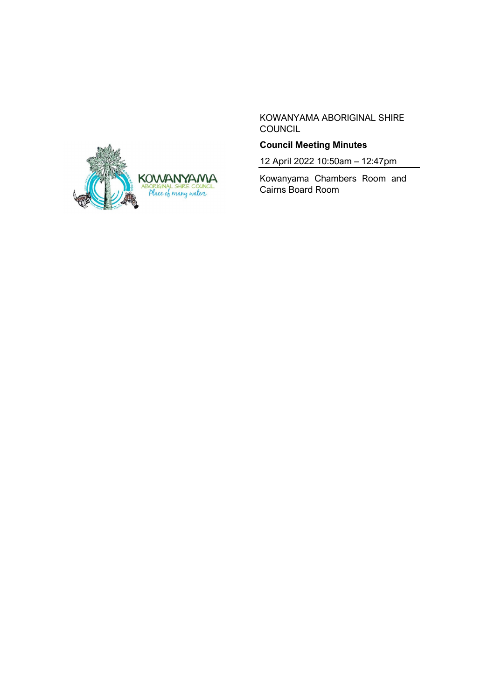

KOWANYAMA ABORIGINAL SHIRE COUNCIL

# **Council Meeting Minutes**

12 April 2022 10:50am – 12:47pm

Kowanyama Chambers Room and Cairns Board Room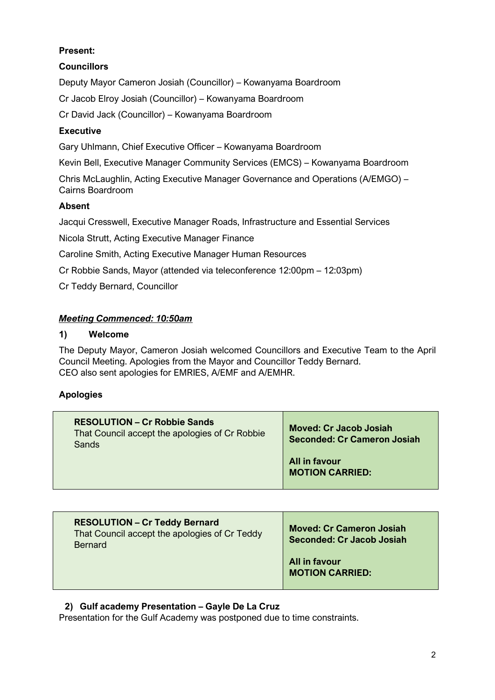# **Present:**

# **Councillors**

Deputy Mayor Cameron Josiah (Councillor) – Kowanyama Boardroom

Cr Jacob Elroy Josiah (Councillor) – Kowanyama Boardroom

Cr David Jack (Councillor) – Kowanyama Boardroom

## **Executive**

Gary Uhlmann, Chief Executive Officer – Kowanyama Boardroom

Kevin Bell, Executive Manager Community Services (EMCS) – Kowanyama Boardroom

Chris McLaughlin, Acting Executive Manager Governance and Operations (A/EMGO) – Cairns Boardroom

## **Absent**

Jacqui Cresswell, Executive Manager Roads, Infrastructure and Essential Services

Nicola Strutt, Acting Executive Manager Finance

Caroline Smith, Acting Executive Manager Human Resources

Cr Robbie Sands, Mayor (attended via teleconference 12:00pm – 12:03pm)

Cr Teddy Bernard, Councillor

### *Meeting Commenced: 10:50am*

## **1) Welcome**

The Deputy Mayor, Cameron Josiah welcomed Councillors and Executive Team to the April Council Meeting. Apologies from the Mayor and Councillor Teddy Bernard. CEO also sent apologies for EMRIES, A/EMF and A/EMHR.

# **Apologies**

| <b>RESOLUTION – Cr Robbie Sands</b><br>That Council accept the apologies of Cr Robbie<br>Sands | <b>Moved: Cr Jacob Josiah</b><br><b>Seconded: Cr Cameron Josiah</b> |
|------------------------------------------------------------------------------------------------|---------------------------------------------------------------------|
|                                                                                                | All in favour<br><b>MOTION CARRIED:</b>                             |

| <b>RESOLUTION - Cr Teddy Bernard</b><br>That Council accept the apologies of Cr Teddy<br><b>Bernard</b> | <b>Moved: Cr Cameron Josiah</b><br>Seconded: Cr Jacob Josiah |
|---------------------------------------------------------------------------------------------------------|--------------------------------------------------------------|
|                                                                                                         | All in favour<br><b>MOTION CARRIED:</b>                      |

### **2) Gulf academy Presentation – Gayle De La Cruz**

Presentation for the Gulf Academy was postponed due to time constraints.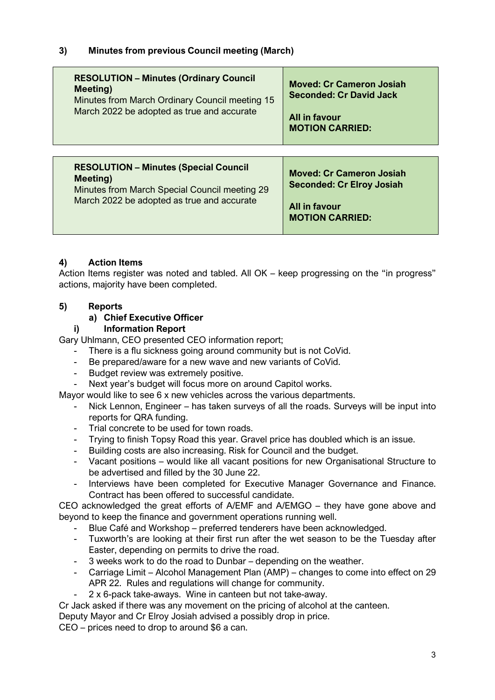# **3) Minutes from previous Council meeting (March)**

| <b>RESOLUTION - Minutes (Ordinary Council</b>  | <b>Moved: Cr Cameron Josiah</b>  |
|------------------------------------------------|----------------------------------|
| <b>Meeting</b> )                               | <b>Seconded: Cr David Jack</b>   |
| Minutes from March Ordinary Council meeting 15 | All in favour                    |
| March 2022 be adopted as true and accurate     | <b>MOTION CARRIED:</b>           |
| <b>RESOLUTION - Minutes (Special Council</b>   | <b>Moved: Cr Cameron Josiah</b>  |
| Meeting)                                       | <b>Seconded: Cr Elroy Josiah</b> |
| Minutes from March Special Council meeting 29  | All in favour                    |
| March 2022 be adopted as true and accurate     | <b>MOTION CARRIED:</b>           |

#### **4) Action Items**

Action Items register was noted and tabled. All OK – keep progressing on the "in progress" actions, majority have been completed.

#### **5) Reports**

#### **a) Chief Executive Officer**

#### **i) Information Report**

Gary Uhlmann, CEO presented CEO information report;

- There is a flu sickness going around community but is not CoVid.
- Be prepared/aware for a new wave and new variants of CoVid.
- Budget review was extremely positive.
- Next year's budget will focus more on around Capitol works.

Mayor would like to see 6 x new vehicles across the various departments.

- Nick Lennon, Engineer has taken surveys of all the roads. Surveys will be input into reports for QRA funding.
- Trial concrete to be used for town roads.
- Trying to finish Topsy Road this year. Gravel price has doubled which is an issue.
- Building costs are also increasing. Risk for Council and the budget.
- Vacant positions would like all vacant positions for new Organisational Structure to be advertised and filled by the 30 June 22.
- Interviews have been completed for Executive Manager Governance and Finance. Contract has been offered to successful candidate.

CEO acknowledged the great efforts of A/EMF and A/EMGO – they have gone above and beyond to keep the finance and government operations running well.

- Blue Café and Workshop preferred tenderers have been acknowledged.
- Tuxworth's are looking at their first run after the wet season to be the Tuesday after Easter, depending on permits to drive the road.
- 3 weeks work to do the road to Dunbar depending on the weather.
- Carriage Limit Alcohol Management Plan (AMP) changes to come into effect on 29 APR 22. Rules and regulations will change for community.
- 2 x 6-pack take-aways. Wine in canteen but not take-away.

Cr Jack asked if there was any movement on the pricing of alcohol at the canteen.

Deputy Mayor and Cr Elroy Josiah advised a possibly drop in price.

CEO – prices need to drop to around \$6 a can.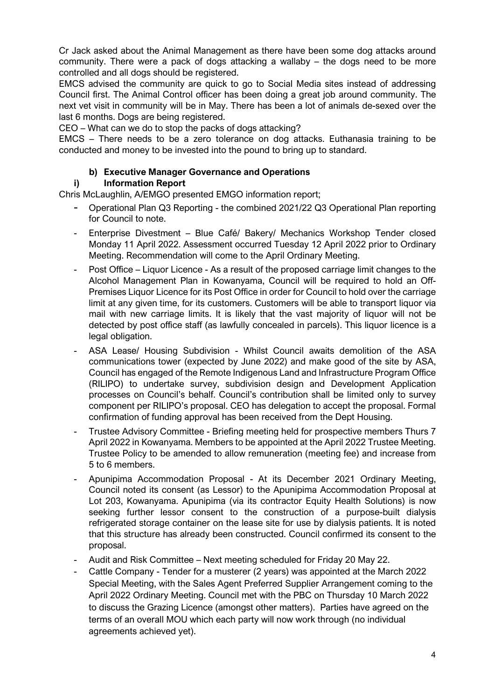Cr Jack asked about the Animal Management as there have been some dog attacks around community. There were a pack of dogs attacking a wallaby – the dogs need to be more controlled and all dogs should be registered.

EMCS advised the community are quick to go to Social Media sites instead of addressing Council first. The Animal Control officer has been doing a great job around community. The next vet visit in community will be in May. There has been a lot of animals de-sexed over the last 6 months. Dogs are being registered.

CEO – What can we do to stop the packs of dogs attacking?

EMCS – There needs to be a zero tolerance on dog attacks. Euthanasia training to be conducted and money to be invested into the pound to bring up to standard.

### **b) Executive Manager Governance and Operations**

### **i) Information Report**

Chris McLaughlin, A/EMGO presented EMGO information report;

- Operational Plan Q3 Reporting the combined 2021/22 Q3 Operational Plan reporting for Council to note.
- Enterprise Divestment Blue Café/ Bakery/ Mechanics Workshop Tender closed Monday 11 April 2022. Assessment occurred Tuesday 12 April 2022 prior to Ordinary Meeting. Recommendation will come to the April Ordinary Meeting.
- Post Office Liquor Licence As a result of the proposed carriage limit changes to the Alcohol Management Plan in Kowanyama, Council will be required to hold an Off-Premises Liquor Licence for its Post Office in order for Council to hold over the carriage limit at any given time, for its customers. Customers will be able to transport liquor via mail with new carriage limits. It is likely that the vast majority of liquor will not be detected by post office staff (as lawfully concealed in parcels). This liquor licence is a legal obligation.
- ASA Lease/ Housing Subdivision Whilst Council awaits demolition of the ASA communications tower (expected by June 2022) and make good of the site by ASA, Council has engaged of the Remote Indigenous Land and Infrastructure Program Office (RILIPO) to undertake survey, subdivision design and Development Application processes on Council's behalf. Council's contribution shall be limited only to survey component per RILIPO's proposal. CEO has delegation to accept the proposal. Formal confirmation of funding approval has been received from the Dept Housing.
- Trustee Advisory Committee Briefing meeting held for prospective members Thurs 7 April 2022 in Kowanyama. Members to be appointed at the April 2022 Trustee Meeting. Trustee Policy to be amended to allow remuneration (meeting fee) and increase from 5 to 6 members.
- Apunipima Accommodation Proposal At its December 2021 Ordinary Meeting, Council noted its consent (as Lessor) to the Apunipima Accommodation Proposal at Lot 203, Kowanyama. Apunipima (via its contractor Equity Health Solutions) is now seeking further lessor consent to the construction of a purpose-built dialysis refrigerated storage container on the lease site for use by dialysis patients. It is noted that this structure has already been constructed. Council confirmed its consent to the proposal.
- Audit and Risk Committee Next meeting scheduled for Friday 20 May 22.
- Cattle Company Tender for a musterer (2 years) was appointed at the March 2022 Special Meeting, with the Sales Agent Preferred Supplier Arrangement coming to the April 2022 Ordinary Meeting. Council met with the PBC on Thursday 10 March 2022 to discuss the Grazing Licence (amongst other matters). Parties have agreed on the terms of an overall MOU which each party will now work through (no individual agreements achieved yet).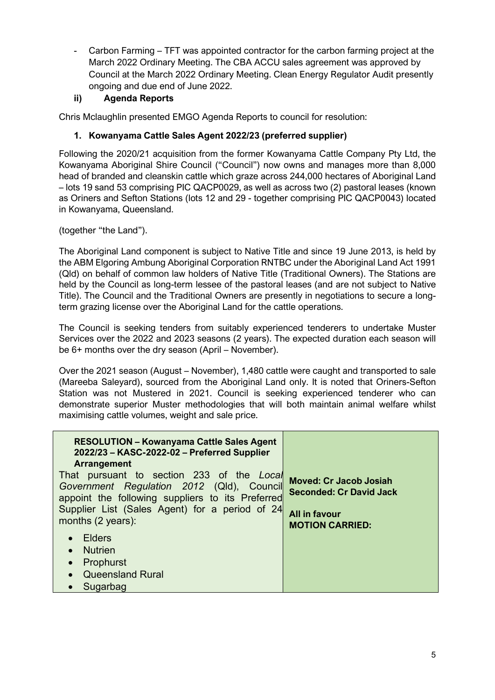- Carbon Farming – TFT was appointed contractor for the carbon farming project at the March 2022 Ordinary Meeting. The CBA ACCU sales agreement was approved by Council at the March 2022 Ordinary Meeting. Clean Energy Regulator Audit presently ongoing and due end of June 2022.

### **ii) Agenda Reports**

Chris Mclaughlin presented EMGO Agenda Reports to council for resolution:

### **1. Kowanyama Cattle Sales Agent 2022/23 (preferred supplier)**

Following the 2020/21 acquisition from the former Kowanyama Cattle Company Pty Ltd, the Kowanyama Aboriginal Shire Council ("Council") now owns and manages more than 8,000 head of branded and cleanskin cattle which graze across 244,000 hectares of Aboriginal Land – lots 19 sand 53 comprising PIC QACP0029, as well as across two (2) pastoral leases (known as Oriners and Sefton Stations (lots 12 and 29 - together comprising PIC QACP0043) located in Kowanyama, Queensland.

(together "the Land").

The Aboriginal Land component is subject to Native Title and since 19 June 2013, is held by the ABM Elgoring Ambung Aboriginal Corporation RNTBC under the Aboriginal Land Act 1991 (Qld) on behalf of common law holders of Native Title (Traditional Owners). The Stations are held by the Council as long-term lessee of the pastoral leases (and are not subject to Native Title). The Council and the Traditional Owners are presently in negotiations to secure a longterm grazing license over the Aboriginal Land for the cattle operations.

The Council is seeking tenders from suitably experienced tenderers to undertake Muster Services over the 2022 and 2023 seasons (2 years). The expected duration each season will be 6+ months over the dry season (April – November).

Over the 2021 season (August – November), 1,480 cattle were caught and transported to sale (Mareeba Saleyard), sourced from the Aboriginal Land only. It is noted that Oriners-Sefton Station was not Mustered in 2021. Council is seeking experienced tenderer who can demonstrate superior Muster methodologies that will both maintain animal welfare whilst maximising cattle volumes, weight and sale price.

| <b>RESOLUTION - Kowanyama Cattle Sales Agent</b><br>2022/23 - KASC-2022-02 - Preferred Supplier<br><b>Arrangement</b><br>That pursuant to section 233 of the Local<br>Government Regulation 2012 (Qld), Council<br>appoint the following suppliers to its Preferred<br>Supplier List (Sales Agent) for a period of 24<br>months (2 years): | <b>Moved: Cr Jacob Josiah</b><br><b>Seconded: Cr David Jack</b><br>All in favour<br><b>MOTION CARRIED:</b> |
|--------------------------------------------------------------------------------------------------------------------------------------------------------------------------------------------------------------------------------------------------------------------------------------------------------------------------------------------|------------------------------------------------------------------------------------------------------------|
| Elders<br><b>Nutrien</b><br>• Prophurst<br>• Queensland Rural<br>Sugarbag                                                                                                                                                                                                                                                                  |                                                                                                            |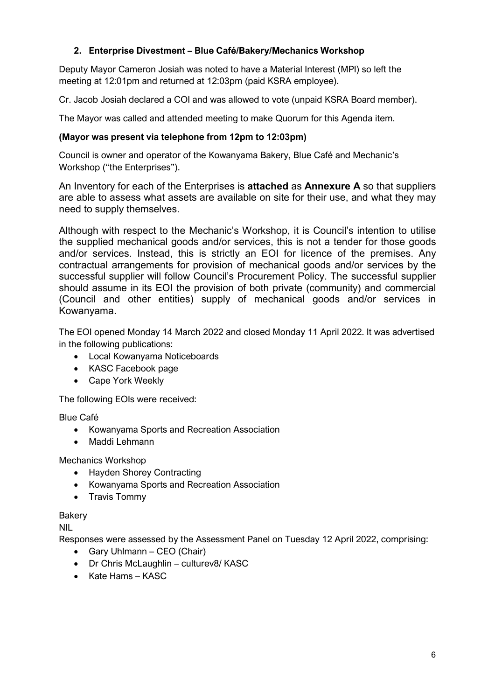### **2. Enterprise Divestment – Blue Café/Bakery/Mechanics Workshop**

Deputy Mayor Cameron Josiah was noted to have a Material Interest (MPI) so left the meeting at 12:01pm and returned at 12:03pm (paid KSRA employee).

Cr. Jacob Josiah declared a COI and was allowed to vote (unpaid KSRA Board member).

The Mayor was called and attended meeting to make Quorum for this Agenda item.

#### **(Mayor was present via telephone from 12pm to 12:03pm)**

Council is owner and operator of the Kowanyama Bakery, Blue Café and Mechanic's Workshop ("the Enterprises").

An Inventory for each of the Enterprises is **attached** as **Annexure A** so that suppliers are able to assess what assets are available on site for their use, and what they may need to supply themselves.

Although with respect to the Mechanic's Workshop, it is Council's intention to utilise the supplied mechanical goods and/or services, this is not a tender for those goods and/or services. Instead, this is strictly an EOI for licence of the premises. Any contractual arrangements for provision of mechanical goods and/or services by the successful supplier will follow Council's Procurement Policy. The successful supplier should assume in its EOI the provision of both private (community) and commercial (Council and other entities) supply of mechanical goods and/or services in Kowanyama.

The EOI opened Monday 14 March 2022 and closed Monday 11 April 2022. It was advertised in the following publications:

- Local Kowanyama Noticeboards
- KASC Facebook page
- Cape York Weekly

The following EOIs were received:

Blue Café

- Kowanyama Sports and Recreation Association
- Maddi Lehmann

Mechanics Workshop

- Hayden Shorey Contracting
- Kowanyama Sports and Recreation Association
- Travis Tommy

#### Bakery

NIL

Responses were assessed by the Assessment Panel on Tuesday 12 April 2022, comprising:

- Gary Uhlmann CEO (Chair)
- Dr Chris McLaughlin culturev8/ KASC
- Kate Hams KASC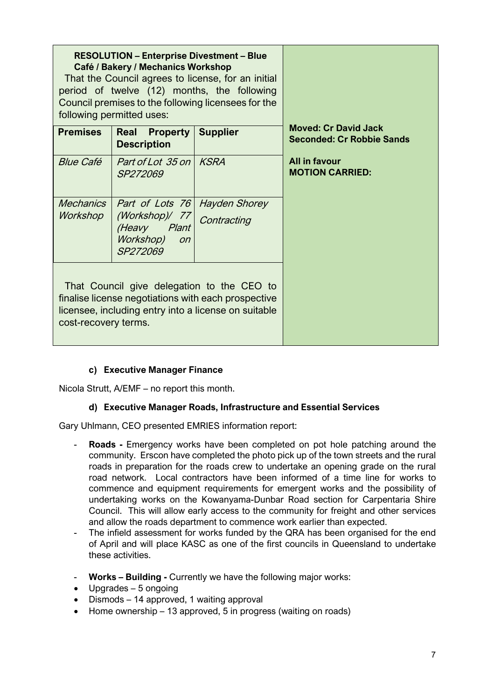| <b>RESOLUTION - Enterprise Divestment - Blue</b><br>Café / Bakery / Mechanics Workshop<br>That the Council agrees to license, for an initial<br>period of twelve (12) months, the following<br>Council premises to the following licensees for the<br>following permitted uses: |                                                                                                          |                 |                                                                 |
|---------------------------------------------------------------------------------------------------------------------------------------------------------------------------------------------------------------------------------------------------------------------------------|----------------------------------------------------------------------------------------------------------|-----------------|-----------------------------------------------------------------|
| <b>Premises</b>                                                                                                                                                                                                                                                                 | <b>Property</b><br>Real<br><b>Description</b>                                                            | <b>Supplier</b> | <b>Moved: Cr David Jack</b><br><b>Seconded: Cr Robbie Sands</b> |
| <b>Blue Café</b>                                                                                                                                                                                                                                                                | Part of Lot 35 on KSRA<br>SP272069                                                                       |                 | All in favour<br><b>MOTION CARRIED:</b>                         |
| <b>Mechanics</b><br>Workshop                                                                                                                                                                                                                                                    | Part of Lots 76 Hayden Shorey<br>(Workshop)/ 77<br>(Heavy<br>Plant<br>Workshop)<br><b>on</b><br>SP272069 | Contracting     |                                                                 |
| That Council give delegation to the CEO to<br>finalise license negotiations with each prospective<br>licensee, including entry into a license on suitable<br>cost-recovery terms.                                                                                               |                                                                                                          |                 |                                                                 |

# **c) Executive Manager Finance**

Nicola Strutt, A/EMF – no report this month.

### **d) Executive Manager Roads, Infrastructure and Essential Services**

Gary Uhlmann, CEO presented EMRIES information report:

- **Roads -** Emergency works have been completed on pot hole patching around the community. Erscon have completed the photo pick up of the town streets and the rural roads in preparation for the roads crew to undertake an opening grade on the rural road network. Local contractors have been informed of a time line for works to commence and equipment requirements for emergent works and the possibility of undertaking works on the Kowanyama-Dunbar Road section for Carpentaria Shire Council. This will allow early access to the community for freight and other services and allow the roads department to commence work earlier than expected.
- The infield assessment for works funded by the QRA has been organised for the end of April and will place KASC as one of the first councils in Queensland to undertake these activities.
- **Works – Building -** Currently we have the following major works:
- Upgrades 5 ongoing
- Dismods 14 approved, 1 waiting approval
- Home ownership 13 approved, 5 in progress (waiting on roads)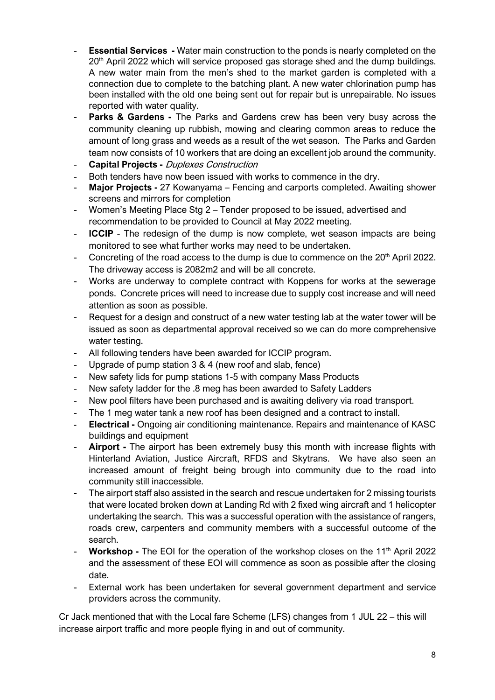- **Essential Services -** Water main construction to the ponds is nearly completed on the 20<sup>th</sup> April 2022 which will service proposed gas storage shed and the dump buildings. A new water main from the men's shed to the market garden is completed with a connection due to complete to the batching plant. A new water chlorination pump has been installed with the old one being sent out for repair but is unrepairable. No issues reported with water quality.
- **Parks & Gardens -** The Parks and Gardens crew has been very busy across the community cleaning up rubbish, mowing and clearing common areas to reduce the amount of long grass and weeds as a result of the wet season. The Parks and Garden team now consists of 10 workers that are doing an excellent job around the community.
- **Capital Projects -** Duplexes Construction
- Both tenders have now been issued with works to commence in the dry.
- **Major Projects -** 27 Kowanyama Fencing and carports completed. Awaiting shower screens and mirrors for completion
- Women's Meeting Place Stg 2 Tender proposed to be issued, advertised and recommendation to be provided to Council at May 2022 meeting.
- **ICCIP** The redesign of the dump is now complete, wet season impacts are being monitored to see what further works may need to be undertaken.
- Concreting of the road access to the dump is due to commence on the 20<sup>th</sup> April 2022. The driveway access is 2082m2 and will be all concrete.
- Works are underway to complete contract with Koppens for works at the sewerage ponds. Concrete prices will need to increase due to supply cost increase and will need attention as soon as possible.
- Request for a design and construct of a new water testing lab at the water tower will be issued as soon as departmental approval received so we can do more comprehensive water testing.
- All following tenders have been awarded for ICCIP program.
- Upgrade of pump station 3 & 4 (new roof and slab, fence)
- New safety lids for pump stations 1-5 with company Mass Products
- New safety ladder for the .8 meg has been awarded to Safety Ladders
- New pool filters have been purchased and is awaiting delivery via road transport.
- The 1 meg water tank a new roof has been designed and a contract to install.
- **Electrical -** Ongoing air conditioning maintenance. Repairs and maintenance of KASC buildings and equipment
- Airport The airport has been extremely busy this month with increase flights with Hinterland Aviation, Justice Aircraft, RFDS and Skytrans. We have also seen an increased amount of freight being brough into community due to the road into community still inaccessible.
- The airport staff also assisted in the search and rescue undertaken for 2 missing tourists that were located broken down at Landing Rd with 2 fixed wing aircraft and 1 helicopter undertaking the search. This was a successful operation with the assistance of rangers, roads crew, carpenters and community members with a successful outcome of the search.
- **Workshop** The EOI for the operation of the workshop closes on the 11<sup>th</sup> April 2022 and the assessment of these EOI will commence as soon as possible after the closing date.
- External work has been undertaken for several government department and service providers across the community.

Cr Jack mentioned that with the Local fare Scheme (LFS) changes from 1 JUL 22 – this will increase airport traffic and more people flying in and out of community.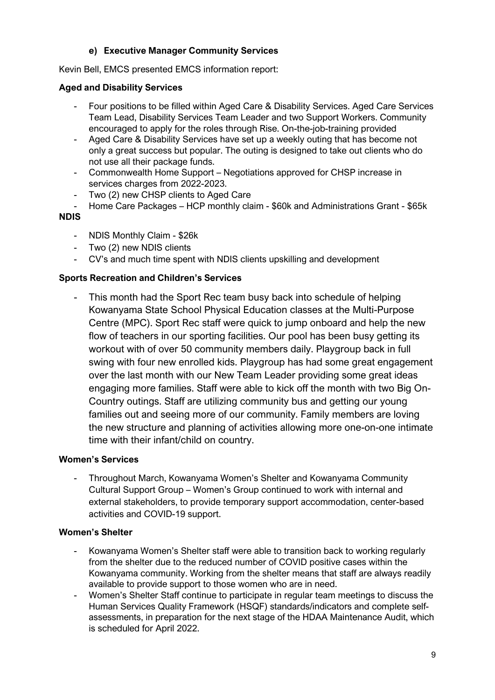# **e) Executive Manager Community Services**

Kevin Bell, EMCS presented EMCS information report:

#### **Aged and Disability Services**

- Four positions to be filled within Aged Care & Disability Services. Aged Care Services Team Lead, Disability Services Team Leader and two Support Workers. Community encouraged to apply for the roles through Rise. On-the-job-training provided
- Aged Care & Disability Services have set up a weekly outing that has become not only a great success but popular. The outing is designed to take out clients who do not use all their package funds.
- Commonwealth Home Support Negotiations approved for CHSP increase in services charges from 2022-2023.
- Two (2) new CHSP clients to Aged Care<br>- Home Care Packages HCP monthly cla
- Home Care Packages HCP monthly claim \$60k and Administrations Grant \$65k

#### **NDIS**

- NDIS Monthly Claim \$26k
- Two (2) new NDIS clients
- CV's and much time spent with NDIS clients upskilling and development

#### **Sports Recreation and Children's Services**

This month had the Sport Rec team busy back into schedule of helping Kowanyama State School Physical Education classes at the Multi-Purpose Centre (MPC). Sport Rec staff were quick to jump onboard and help the new flow of teachers in our sporting facilities. Our pool has been busy getting its workout with of over 50 community members daily. Playgroup back in full swing with four new enrolled kids. Playgroup has had some great engagement over the last month with our New Team Leader providing some great ideas engaging more families. Staff were able to kick off the month with two Big On-Country outings. Staff are utilizing community bus and getting our young families out and seeing more of our community. Family members are loving the new structure and planning of activities allowing more one-on-one intimate time with their infant/child on country.

#### **Women's Services**

- Throughout March, Kowanyama Women's Shelter and Kowanyama Community Cultural Support Group – Women's Group continued to work with internal and external stakeholders, to provide temporary support accommodation, center-based activities and COVID-19 support.

#### **Women's Shelter**

- Kowanyama Women's Shelter staff were able to transition back to working regularly from the shelter due to the reduced number of COVID positive cases within the Kowanyama community. Working from the shelter means that staff are always readily available to provide support to those women who are in need.
- Women's Shelter Staff continue to participate in regular team meetings to discuss the Human Services Quality Framework (HSQF) standards/indicators and complete selfassessments, in preparation for the next stage of the HDAA Maintenance Audit, which is scheduled for April 2022.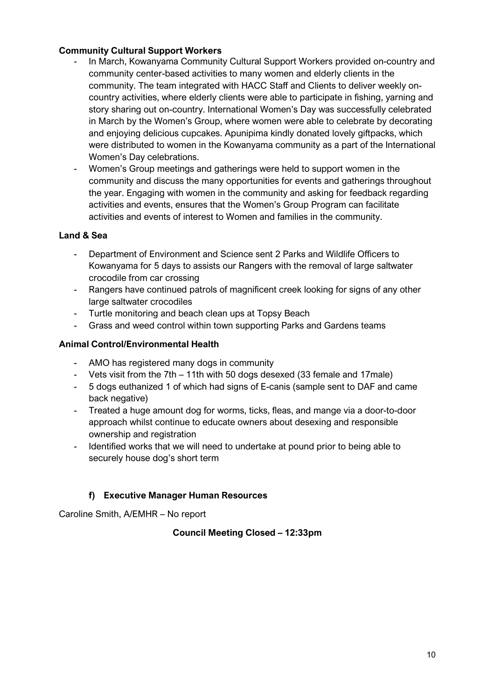### **Community Cultural Support Workers**

- In March, Kowanyama Community Cultural Support Workers provided on-country and community center-based activities to many women and elderly clients in the community. The team integrated with HACC Staff and Clients to deliver weekly oncountry activities, where elderly clients were able to participate in fishing, yarning and story sharing out on-country. International Women's Day was successfully celebrated in March by the Women's Group, where women were able to celebrate by decorating and enjoying delicious cupcakes. Apunipima kindly donated lovely giftpacks, which were distributed to women in the Kowanyama community as a part of the International Women's Day celebrations.
- Women's Group meetings and gatherings were held to support women in the community and discuss the many opportunities for events and gatherings throughout the year. Engaging with women in the community and asking for feedback regarding activities and events, ensures that the Women's Group Program can facilitate activities and events of interest to Women and families in the community.

### **Land & Sea**

- Department of Environment and Science sent 2 Parks and Wildlife Officers to Kowanyama for 5 days to assists our Rangers with the removal of large saltwater crocodile from car crossing
- Rangers have continued patrols of magnificent creek looking for signs of any other large saltwater crocodiles
- Turtle monitoring and beach clean ups at Topsy Beach
- Grass and weed control within town supporting Parks and Gardens teams

### **Animal Control/Environmental Health**

- AMO has registered many dogs in community
- Vets visit from the 7th 11th with 50 dogs desexed (33 female and 17male)
- 5 dogs euthanized 1 of which had signs of E-canis (sample sent to DAF and came back negative)
- Treated a huge amount dog for worms, ticks, fleas, and mange via a door-to-door approach whilst continue to educate owners about desexing and responsible ownership and registration
- Identified works that we will need to undertake at pound prior to being able to securely house dog's short term

### **f) Executive Manager Human Resources**

Caroline Smith, A/EMHR – No report

### **Council Meeting Closed – 12:33pm**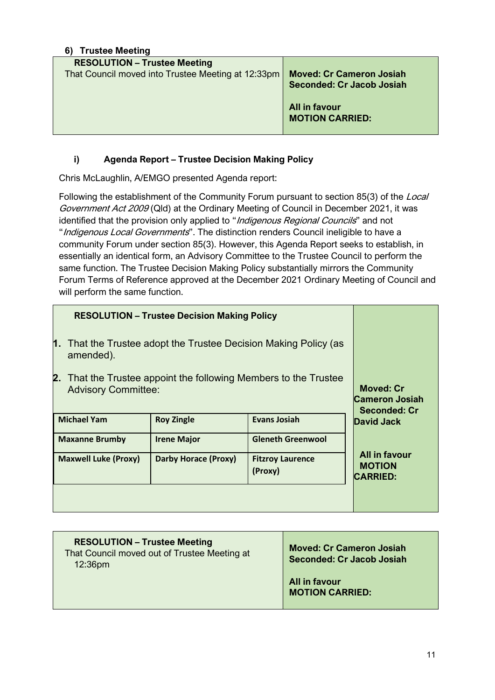| <b>Trustee Meeting</b><br>6)                                                              |                                                                                                                |
|-------------------------------------------------------------------------------------------|----------------------------------------------------------------------------------------------------------------|
| <b>RESOLUTION - Trustee Meeting</b><br>That Council moved into Trustee Meeting at 12:33pm | <b>Moved: Cr Cameron Josiah</b><br><b>Seconded: Cr Jacob Josiah</b><br>All in favour<br><b>MOTION CARRIED:</b> |
|                                                                                           |                                                                                                                |

# **i) Agenda Report – Trustee Decision Making Policy**

Chris McLaughlin, A/EMGO presented Agenda report:

Following the establishment of the Community Forum pursuant to section 85(3) of the Local Government Act 2009 (Qld) at the Ordinary Meeting of Council in December 2021, it was identified that the provision only applied to "Indigenous Regional Councils" and not "Indigenous Local Governments". The distinction renders Council ineligible to have a community Forum under section 85(3). However, this Agenda Report seeks to establish, in essentially an identical form, an Advisory Committee to the Trustee Council to perform the same function. The Trustee Decision Making Policy substantially mirrors the Community Forum Terms of Reference approved at the December 2021 Ordinary Meeting of Council and will perform the same function.

| <b>RESOLUTION - Trustee Decision Making Policy</b>                                                |                             |                                                                  |                                                          |
|---------------------------------------------------------------------------------------------------|-----------------------------|------------------------------------------------------------------|----------------------------------------------------------|
| 1.<br>That the Trustee adopt the Trustee Decision Making Policy (as<br>amended).                  |                             |                                                                  |                                                          |
| 2.<br>That the Trustee appoint the following Members to the Trustee<br><b>Advisory Committee:</b> |                             | <b>Moved: Cr</b><br><b>Cameron Josiah</b><br><b>Seconded: Cr</b> |                                                          |
| <b>Michael Yam</b>                                                                                | <b>Roy Zingle</b>           | <b>Evans Josiah</b>                                              | <b>David Jack</b>                                        |
| <b>Maxanne Brumby</b>                                                                             | <b>Irene Major</b>          | <b>Gleneth Greenwool</b>                                         |                                                          |
| <b>Maxwell Luke (Proxy)</b>                                                                       | <b>Darby Horace (Proxy)</b> | <b>Fitzroy Laurence</b><br>(Proxy)                               | <b>All in favour</b><br><b>MOTION</b><br><b>CARRIED:</b> |
|                                                                                                   |                             |                                                                  |                                                          |

| <b>RESOLUTION - Trustee Meeting</b><br>That Council moved out of Trustee Meeting at<br>12:36 <sub>pm</sub> | <b>Moved: Cr Cameron Josiah</b><br>Seconded: Cr Jacob Josiah |
|------------------------------------------------------------------------------------------------------------|--------------------------------------------------------------|
|                                                                                                            | All in favour<br><b>MOTION CARRIED:</b>                      |